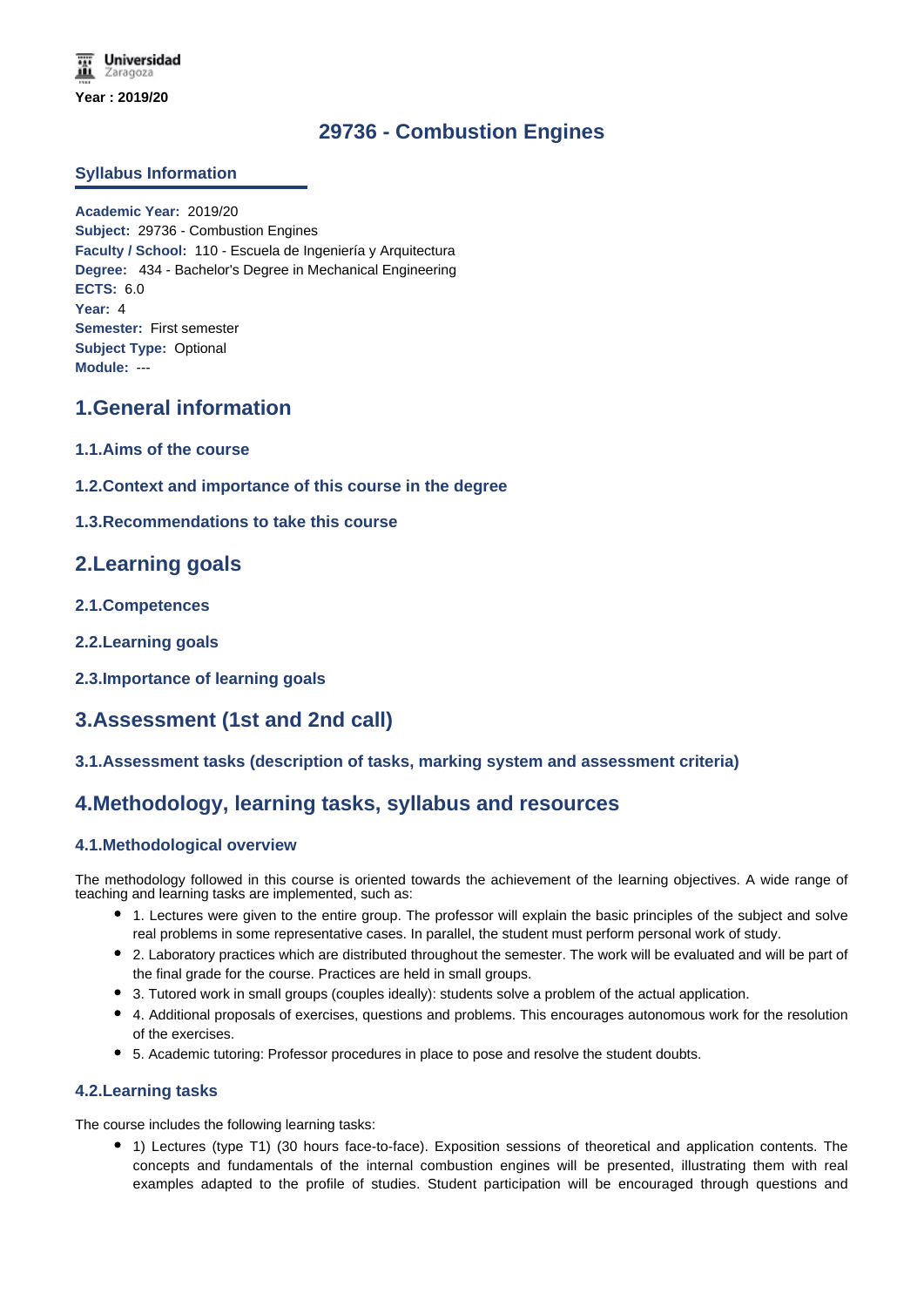# **29736 - Combustion Engines**

### **Syllabus Information**

**Academic Year:** 2019/20 **Subject:** 29736 - Combustion Engines **Faculty / School:** 110 - Escuela de Ingeniería y Arquitectura **Degree:** 434 - Bachelor's Degree in Mechanical Engineering **ECTS:** 6.0 **Year:** 4 **Semester:** First semester **Subject Type:** Optional **Module:** ---

## **1.General information**

- **1.1.Aims of the course**
- **1.2.Context and importance of this course in the degree**
- **1.3.Recommendations to take this course**

## **2.Learning goals**

- **2.1.Competences**
- **2.2.Learning goals**
- **2.3.Importance of learning goals**

# **3.Assessment (1st and 2nd call)**

### **3.1.Assessment tasks (description of tasks, marking system and assessment criteria)**

## **4.Methodology, learning tasks, syllabus and resources**

### **4.1.Methodological overview**

The methodology followed in this course is oriented towards the achievement of the learning objectives. A wide range of teaching and learning tasks are implemented, such as:

- 1. Lectures were given to the entire group. The professor will explain the basic principles of the subject and solve real problems in some representative cases. In parallel, the student must perform personal work of study.
- 2. Laboratory practices which are distributed throughout the semester. The work will be evaluated and will be part of the final grade for the course. Practices are held in small groups.
- 3. Tutored work in small groups (couples ideally): students solve a problem of the actual application.
- 4. Additional proposals of exercises, questions and problems. This encourages autonomous work for the resolution of the exercises.
- 5. Academic tutoring: Professor procedures in place to pose and resolve the student doubts.

### **4.2.Learning tasks**

The course includes the following learning tasks:

1) Lectures (type T1) (30 hours face-to-face). Exposition sessions of theoretical and application contents. The concepts and fundamentals of the internal combustion engines will be presented, illustrating them with real examples adapted to the profile of studies. Student participation will be encouraged through questions and